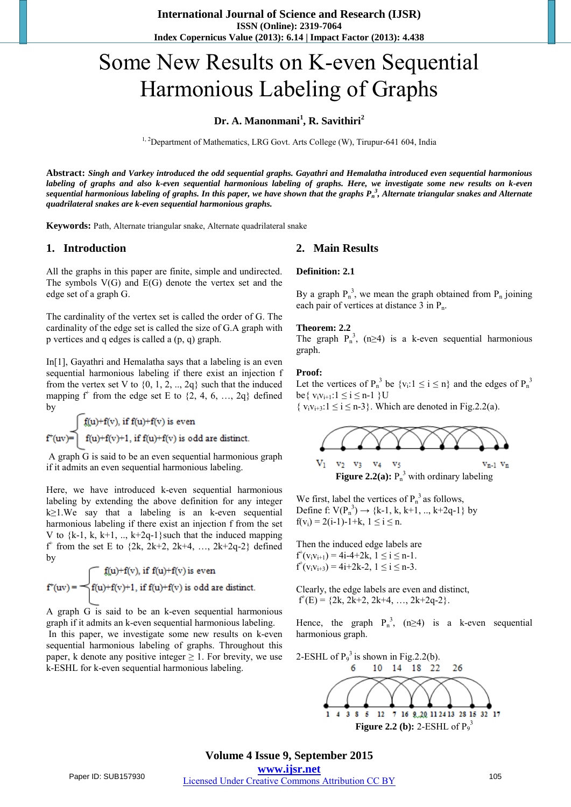# Some New Results on K-even Sequential Harmonious Labeling of Graphs

## **Dr. A. Manonmani<sup>1</sup> , R. Savithiri<sup>2</sup>**

<sup>1, 2</sup>Department of Mathematics, LRG Govt. Arts College (W), Tirupur-641 604, India

**Abstract:** *Singh and Varkey introduced the odd sequential graphs. Gayathri and Hemalatha introduced even sequential harmonious labeling of graphs and also k-even sequential harmonious labeling of graphs. Here, we investigate some new results on k-even sequential harmonious labeling of graphs. In this paper, we have shown that the graphs P<sup>n</sup> 3 , Alternate triangular snakes and Alternate quadrilateral snakes are k-even sequential harmonious graphs.*

**Keywords:** Path, Alternate triangular snake, Alternate quadrilateral snake

#### **1. Introduction**

All the graphs in this paper are finite, simple and undirected. The symbols  $V(G)$  and  $E(G)$  denote the vertex set and the edge set of a graph G.

The cardinality of the vertex set is called the order of G. The cardinality of the edge set is called the size of G.A graph with p vertices and q edges is called a (p, q) graph.

In[1], Gayathri and Hemalatha says that a labeling is an even sequential harmonious labeling if there exist an injection f from the vertex set V to  $\{0, 1, 2, \ldots, 2q\}$  such that the induced mapping  $f^+$  from the edge set E to  $\{2, 4, 6, ..., 2q\}$  defined by

 $f(u)+f(v)$ , if  $f(u)+f(v)$  is even  $f^+(uv) = \begin{cases} f(u)+f(v)+1, & \text{if } f(u)+f(v) \text{ is odd are distinct.} \end{cases}$ 

 A graph G is said to be an even sequential harmonious graph if it admits an even sequential harmonious labeling.

Here, we have introduced k-even sequential harmonious labeling by extending the above definition for any integer k≥1.We say that a labeling is an k-even sequential harmonious labeling if there exist an injection f from the set V to  $\{k-1, k, k+1, \ldots, k+2q-1\}$  such that the induced mapping  $f^+$  from the set E to  $\{2k, 2k+2, 2k+4, ..., 2k+2q-2\}$  defined by

$$
f^*(uv) = \begin{cases} f(u) + f(v), \text{ if } f(u) + f(v) \text{ is even} \\ f(u) + f(v) + 1, \text{ if } f(u) + f(v) \text{ is odd are distinct.} \end{cases}
$$

A graph G is said to be an k-even sequential harmonious graph if it admits an k-even sequential harmonious labeling.

In this paper, we investigate some new results on k-even sequential harmonious labeling of graphs. Throughout this paper, k denote any positive integer  $\geq 1$ . For brevity, we use k-ESHL for k-even sequential harmonious labeling.

#### **2. Main Results**

#### **Definition: 2.1**

By a graph  $P_n^3$ , we mean the graph obtained from  $P_n$  joining each pair of vertices at distance 3 in P<sub>n</sub>.

#### **Theorem: 2.2**

The graph  $P_n^3$ , (n≥4) is a k-even sequential harmonious graph.

#### **Proof:**

Let the vertices of  $P_n^3$  be  $\{v_i: 1 \le i \le n\}$  and the edges of  $P_n^3$ be{  $v_i v_{i+1}: 1 \le i \le n-1$  }U

 $\{v_i v_{i+3}: 1 \le i \le n-3\}$ . Which are denoted in Fig. 2.2(a).



We first, label the vertices of  $P_n^3$  as follows, Define f:  $V(P_n^3) \to \{k-1, k, k+1, ..., k+2q-1\}$  by

Then the induced edge labels are  $f^+(v_iv_{i+1}) = 4i-4+2k, 1 \le i \le n-1.$  $f^+(v_iv_{i+3}) = 4i+2k-2, 1 \le i \le n-3.$ 

 $f(v_i) = 2(i-1)-1+k$ ,  $1 \le i \le n$ .

Clearly, the edge labels are even and distinct,  $f^+(E) = \{2k, 2k+2, 2k+4, ..., 2k+2q-2\}.$ 

Hence, the graph  $P_n^3$ , (n≥4) is a k-even sequential harmonious graph.

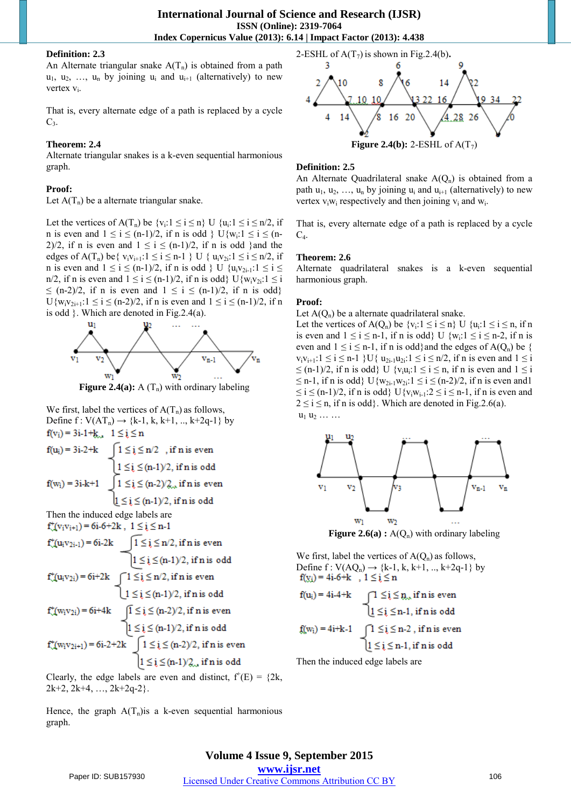#### **Definition: 2.3**

An Alternate triangular snake  $A(T_n)$  is obtained from a path  $u_1, u_2, \ldots, u_n$  by joining  $u_i$  and  $u_{i+1}$  (alternatively) to new vertex  $v_i$ .

That is, every alternate edge of a path is replaced by a cycle  $C_3$ .

## **Theorem: 2.4**

Alternate triangular snakes is a k-even sequential harmonious graph.

#### **Proof:**

Let  $A(T_n)$  be a alternate triangular snake.

Let the vertices of  $A(T_n)$  be  $\{v_i: 1 \le i \le n\}$  U  $\{u_i: 1 \le i \le n/2, i \le n\}$ n is even and  $1 \le i \le (n-1)/2$ , if n is odd  $\}$  U{w<sub>i</sub>: $1 \le i \le (n-1)/2$ 2)/2, if n is even and  $1 \le i \le (n-1)/2$ , if n is odd } and the edges of  $A(T_n)$  be {  $v_i v_{i+1}: 1 \le i \le n-1$  } U {  $u_i v_{2i}: 1 \le i \le n/2$ , if n is even and  $1 \le i \le (n-1)/2$ , if n is odd  $\}$  U  $\{u_i v_{2i-1}: 1 \le i \le n\}$ n/2, if n is even and  $1 \le i \le (n-1)/2$ , if n is odd}  $U\{w_i v_{i+1} : i \le i$  $\leq$  (n-2)/2, if n is even and  $1 \leq i \leq (n-1)/2$ , if n is odd}  $U\{w_i v_{2i+1}: 1 \le i \le (n-2)/2, \text{ if } n \text{ is even and } 1 \le i \le (n-1)/2, \text{ if } n \text{ } \}$ is odd }. Which are denoted in Fig.2.4(a).



**Figure 2.4(a):** A  $(T_n)$  with ordinary labeling

We first, label the vertices of  $A(T_n)$  as follows, Define  $f: V(AT_n) \to \{k-1, k, k+1, ..., k+2q-1\}$  by  $f(v_i) = 3i-1+k_{i,j}$ ,  $1 \le i \le n$ 

 $f(u_i) = 3i-2+k$  $1 \leq i \leq n/2$ , if n is even  $1 \leq i \leq (n-1)/2$ , if n is odd  $\int 1 \leq i \leq (n-2)/2_{\infty}$  if n is even  $f(w_i) = 3i - k + 1$  $1 \le i \le (n-1)/2$ , if n is odd Then the induced edge labels are  $f''(v_i v_{i+1}) = 6i-6+2k$ ,  $1 \le i \le n-1$  $1 \le i \le n/2$ , if n is even  $f^+(u_iv_{2i-1}) = 6i-2k$  $1 \leq i \leq (n-1)/2$ , if n is odd  $f''(u_iv_{2i}) = 6i+2k$  $1 \leq i \leq n/2$ , if n is even  $1 \le i \le (n-1)/2$ , if n is odd  $\sqrt{1} \leq i \leq (n-2)/2$ , if n is even  $f'(w_i v_{2i}) = 6i + 4k$  $1 \leq i \leq (n-1)/2$ , if n is odd  $f^*(w_i v_{2i+1}) = 6i-2+2k$   $\left[1 \leq i \leq (n-2)/2, \text{ if } n \text{ is even}\right]$  $1 \leq i \leq (n-1)/2$ , if n is odd

Clearly, the edge labels are even and distinct,  $f'(E) = \{2k,$  $2k+2$ ,  $2k+4$ , ...,  $2k+2q-2$ }.

Hence, the graph  $A(T_n)$  is a k-even sequential harmonious graph.





#### **Definition: 2.5**

An Alternate Quadrilateral snake  $A(Q_n)$  is obtained from a path  $u_1, u_2, ..., u_n$  by joining  $u_i$  and  $u_{i+1}$  (alternatively) to new vertex  $v_i w_i$  respectively and then joining  $v_i$  and  $w_i$ .

That is, every alternate edge of a path is replaced by a cycle  $C_4$ .

## **Theorem: 2.6**

Alternate quadrilateral snakes is a k-even sequential harmonious graph.

## **Proof:**

Let  $A(Q_n)$  be a alternate quadrilateral snake.

Let the vertices of  $A(Q_n)$  be  $\{v_i: 1 \le i \le n\}$  U  $\{u_i: 1 \le i \le n, \text{ if } n$ is even and  $1 \le i \le n-1$ , if n is odd} U  $\{w_i: 1 \le i \le n-2\}$ , if n is even and  $1 \le i \le n-1$ , if n is odd and the edges of A(Q<sub>n</sub>) be {  $v_i v_{i+1}: 1 \le i \le n-1$  } U{  $u_{2i-1} u_{2i}: 1 \le i \le n/2$ , if n is even and  $1 \le i$  $\leq$  (n-1)/2, if n is odd} U { $v_i u_i$ :  $1 \leq i \leq n$ , if n is even and  $1 \leq i$  $\leq$  n-1, if n is odd} U{w<sub>2i-1</sub>w<sub>2i</sub>:1  $\leq$  i  $\leq$  (n-2)/2, if n is even and1  $\leq i \leq (n-1)/2$ , if n is odd} U{v<sub>i</sub>w<sub>i-1</sub>:2  $\leq i \leq n-1$ , if n is even and  $2 \le i \le n$ , if n is odd}. Which are denoted in Fig.2.6(a).  $u_1 u_2 \ldots \ldots$ 



**Figure 2.6(a) :**  $A(Q_n)$  with ordinary labeling

We first, label the vertices of  $A(Q_n)$  as follows, Define  $f: V(AQ_n) \to \{k-1, k, k+1, ..., k+2q-1\}$  by<br> $f(x_i) = 4i-6+k$ ,  $1 \le i \le n$ 

$$
f(u_i) = 4i \cdot 4 + k \qquad \qquad \bigcap_{{\scriptsize \begin{array}{c}1\leq i\leq n,\\[-1mm] \underline{1}\leq i\leq n-1,\text{ if $n$ is odd}\end{array}}} \hskip -10pt \leq i \leq n.
$$

$$
f(\hspace{-0.06cm}( w_i)\hspace{-0.06cm})\hspace{-0.06cm} =\hspace{-0.06cm} 4i\hspace{-0.06cm} +\hspace{-0.06cm} k\hspace{-0.06cm}-\hspace{-0.06cm} 1 \hspace{-0.06cm} \bigcup\hspace{-0.06cm} 1\hspace{-0.06cm}\leq\hspace{-0.06cm} i\hspace{-0.06cm}\leq\hspace{-0.06cm} i\hspace{-0.06cm} \leq\hspace{-0.06cm} n\hspace{-0.06cm} -\hspace{-0.06cm} 2\hspace{-0.06cm} , \text{ if $n$ is even}
$$

$$
\underbar{\mathfrak{l}} \leq \underbar{\mathfrak{i}} \leq n-1 \text{, if } n \text{ is odd}
$$

Then the induced edge labels are

**Volume 4 Issue 9, September 2015**